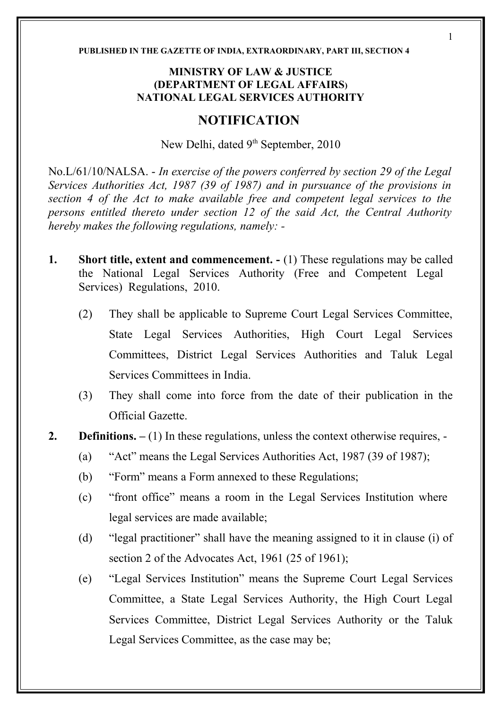#### **PUBLISHED IN THE GAZETTE OF INDIA, EXTRAORDINARY, PART III, SECTION 4**

#### **MINISTRY OF LAW & JUSTICE (DEPARTMENT OF LEGAL AFFAIRS) NATIONAL LEGAL SERVICES AUTHORITY**

# **NOTIFICATION**

New Delhi, dated 9<sup>th</sup> September, 2010

No.L/61/10/NALSA. - *In exercise of the powers conferred by section 29 of the Legal Services Authorities Act, 1987 (39 of 1987) and in pursuance of the provisions in section 4 of the Act to make available free and competent legal services to the persons entitled thereto under section 12 of the said Act, the Central Authority hereby makes the following regulations, namely: -* 

- **1. Short title, extent and commencement.**  $\cdot$  (1) These regulations may be called the National Legal Services Authority (Free and Competent Legal Services) Regulations, 2010.
	- (2) They shall be applicable to Supreme Court Legal Services Committee, State Legal Services Authorities, High Court Legal Services Committees, District Legal Services Authorities and Taluk Legal Services Committees in India.
	- (3) They shall come into force from the date of their publication in the Official Gazette.
- **2. Definitions.** (1) In these regulations, unless the context otherwise requires, -
	- (a) "Act" means the Legal Services Authorities Act, 1987 (39 of 1987);
	- (b) "Form" means a Form annexed to these Regulations;
	- (c) "front office" means a room in the Legal Services Institution where legal services are made available;
	- (d) "legal practitioner" shall have the meaning assigned to it in clause (i) of section 2 of the Advocates Act, 1961 (25 of 1961);
	- (e) "Legal Services Institution" means the Supreme Court Legal Services Committee, a State Legal Services Authority, the High Court Legal Services Committee, District Legal Services Authority or the Taluk Legal Services Committee, as the case may be;

1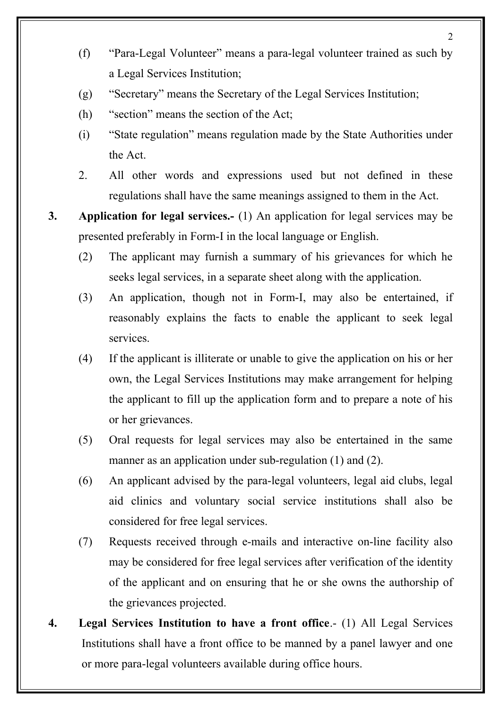- (f) "Para-Legal Volunteer" means a para-legal volunteer trained as such by a Legal Services Institution;
- (g) "Secretary" means the Secretary of the Legal Services Institution;
- (h) "section" means the section of the Act;
- (i) "State regulation" means regulation made by the State Authorities under the Act.
- 2. All other words and expressions used but not defined in these regulations shall have the same meanings assigned to them in the Act.
- **3. Application for legal services.-** (1) An application for legal services may be presented preferably in Form-I in the local language or English.
	- (2) The applicant may furnish a summary of his grievances for which he seeks legal services, in a separate sheet along with the application.
	- (3) An application, though not in Form-I, may also be entertained, if reasonably explains the facts to enable the applicant to seek legal services.
	- (4) If the applicant is illiterate or unable to give the application on his or her own, the Legal Services Institutions may make arrangement for helping the applicant to fill up the application form and to prepare a note of his or her grievances.
	- (5) Oral requests for legal services may also be entertained in the same manner as an application under sub-regulation (1) and (2).
	- (6) An applicant advised by the para-legal volunteers, legal aid clubs, legal aid clinics and voluntary social service institutions shall also be considered for free legal services.
	- (7) Requests received through e-mails and interactive on-line facility also may be considered for free legal services after verification of the identity of the applicant and on ensuring that he or she owns the authorship of the grievances projected.
- **4. Legal Services Institution to have a front office**.- (1) All Legal Services Institutions shall have a front office to be manned by a panel lawyer and one or more para-legal volunteers available during office hours.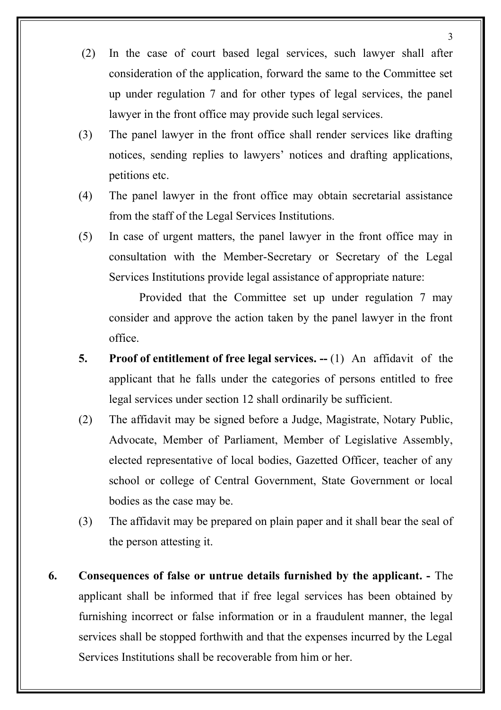- (2) In the case of court based legal services, such lawyer shall after consideration of the application, forward the same to the Committee set up under regulation 7 and for other types of legal services, the panel lawyer in the front office may provide such legal services.
- (3) The panel lawyer in the front office shall render services like drafting notices, sending replies to lawyers' notices and drafting applications, petitions etc.
- (4) The panel lawyer in the front office may obtain secretarial assistance from the staff of the Legal Services Institutions.
- (5) In case of urgent matters, the panel lawyer in the front office may in consultation with the Member-Secretary or Secretary of the Legal Services Institutions provide legal assistance of appropriate nature:

Provided that the Committee set up under regulation 7 may consider and approve the action taken by the panel lawyer in the front office.

- **5. Proof of entitlement of free legal services.** -- (1) An affidavit of the applicant that he falls under the categories of persons entitled to free legal services under section 12 shall ordinarily be sufficient.
- (2) The affidavit may be signed before a Judge, Magistrate, Notary Public, Advocate, Member of Parliament, Member of Legislative Assembly, elected representative of local bodies, Gazetted Officer, teacher of any school or college of Central Government, State Government or local bodies as the case may be.
- (3) The affidavit may be prepared on plain paper and it shall bear the seal of the person attesting it.
- **6. Consequences of false or untrue details furnished by the applicant.** The applicant shall be informed that if free legal services has been obtained by furnishing incorrect or false information or in a fraudulent manner, the legal services shall be stopped forthwith and that the expenses incurred by the Legal Services Institutions shall be recoverable from him or her.

3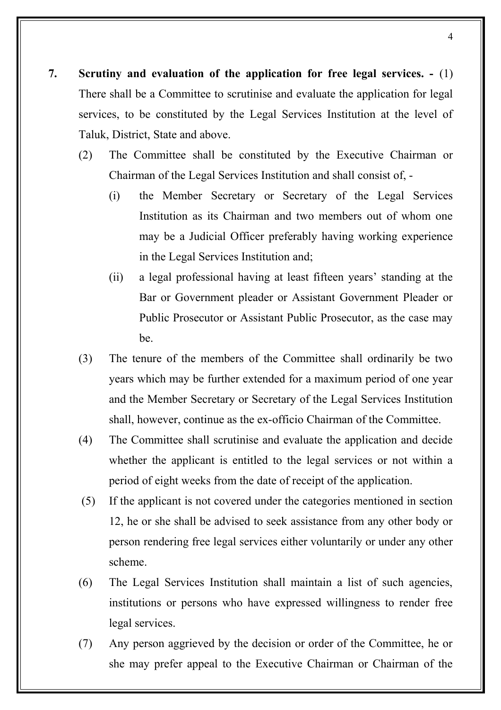- **7. Scrutiny and evaluation of the application for free legal services.** (1) There shall be a Committee to scrutinise and evaluate the application for legal services, to be constituted by the Legal Services Institution at the level of Taluk, District, State and above.
	- (2) The Committee shall be constituted by the Executive Chairman or Chairman of the Legal Services Institution and shall consist of, -
		- (i) the Member Secretary or Secretary of the Legal Services Institution as its Chairman and two members out of whom one may be a Judicial Officer preferably having working experience in the Legal Services Institution and;
		- (ii) a legal professional having at least fifteen years' standing at the Bar or Government pleader or Assistant Government Pleader or Public Prosecutor or Assistant Public Prosecutor, as the case may be.
	- (3) The tenure of the members of the Committee shall ordinarily be two years which may be further extended for a maximum period of one year and the Member Secretary or Secretary of the Legal Services Institution shall, however, continue as the ex-officio Chairman of the Committee.
	- (4) The Committee shall scrutinise and evaluate the application and decide whether the applicant is entitled to the legal services or not within a period of eight weeks from the date of receipt of the application.
	- (5) If the applicant is not covered under the categories mentioned in section 12, he or she shall be advised to seek assistance from any other body or person rendering free legal services either voluntarily or under any other scheme.
	- (6) The Legal Services Institution shall maintain a list of such agencies, institutions or persons who have expressed willingness to render free legal services.
	- (7) Any person aggrieved by the decision or order of the Committee, he or she may prefer appeal to the Executive Chairman or Chairman of the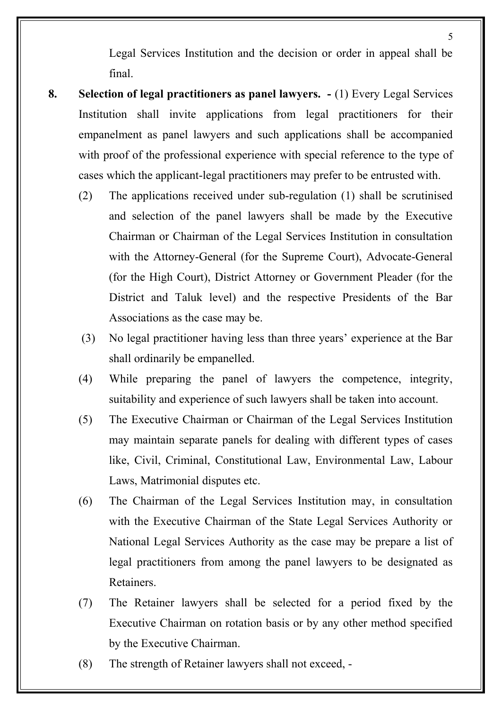Legal Services Institution and the decision or order in appeal shall be final.

- **8. Selection of legal practitioners as panel lawyers.** (1) Every Legal Services Institution shall invite applications from legal practitioners for their empanelment as panel lawyers and such applications shall be accompanied with proof of the professional experience with special reference to the type of cases which the applicant-legal practitioners may prefer to be entrusted with.
	- (2) The applications received under sub-regulation (1) shall be scrutinised and selection of the panel lawyers shall be made by the Executive Chairman or Chairman of the Legal Services Institution in consultation with the Attorney-General (for the Supreme Court), Advocate-General (for the High Court), District Attorney or Government Pleader (for the District and Taluk level) and the respective Presidents of the Bar Associations as the case may be.
	- (3) No legal practitioner having less than three years' experience at the Bar shall ordinarily be empanelled.
	- (4) While preparing the panel of lawyers the competence, integrity, suitability and experience of such lawyers shall be taken into account.
	- (5) The Executive Chairman or Chairman of the Legal Services Institution may maintain separate panels for dealing with different types of cases like, Civil, Criminal, Constitutional Law, Environmental Law, Labour Laws, Matrimonial disputes etc.
	- (6) The Chairman of the Legal Services Institution may, in consultation with the Executive Chairman of the State Legal Services Authority or National Legal Services Authority as the case may be prepare a list of legal practitioners from among the panel lawyers to be designated as Retainers.
	- (7) The Retainer lawyers shall be selected for a period fixed by the Executive Chairman on rotation basis or by any other method specified by the Executive Chairman.
	- (8) The strength of Retainer lawyers shall not exceed, -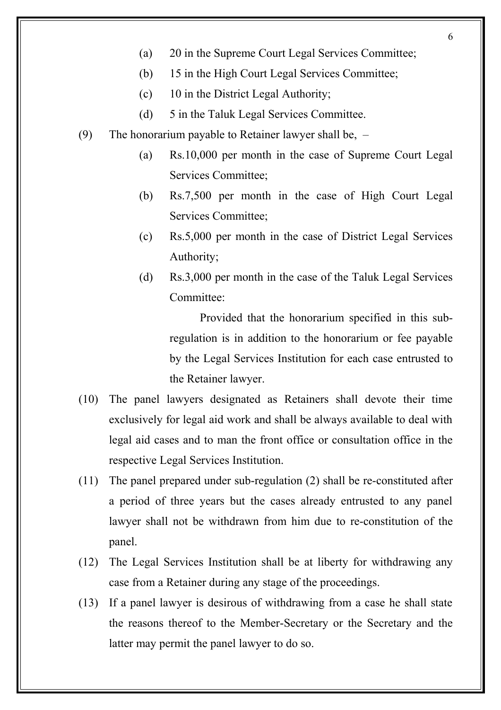- 6
- (a) 20 in the Supreme Court Legal Services Committee;
- (b) 15 in the High Court Legal Services Committee;
- (c) 10 in the District Legal Authority;
- (d) 5 in the Taluk Legal Services Committee.
- (9) The honorarium payable to Retainer lawyer shall be,
	- (a) Rs.10,000 per month in the case of Supreme Court Legal Services Committee;
	- (b) Rs.7,500 per month in the case of High Court Legal Services Committee;
	- (c) Rs.5,000 per month in the case of District Legal Services Authority;
	- (d) Rs.3,000 per month in the case of the Taluk Legal Services Committee:

Provided that the honorarium specified in this subregulation is in addition to the honorarium or fee payable by the Legal Services Institution for each case entrusted to the Retainer lawyer.

- (10) The panel lawyers designated as Retainers shall devote their time exclusively for legal aid work and shall be always available to deal with legal aid cases and to man the front office or consultation office in the respective Legal Services Institution.
- (11) The panel prepared under sub-regulation (2) shall be re-constituted after a period of three years but the cases already entrusted to any panel lawyer shall not be withdrawn from him due to re-constitution of the panel.
- (12) The Legal Services Institution shall be at liberty for withdrawing any case from a Retainer during any stage of the proceedings.
- (13) If a panel lawyer is desirous of withdrawing from a case he shall state the reasons thereof to the Member-Secretary or the Secretary and the latter may permit the panel lawyer to do so.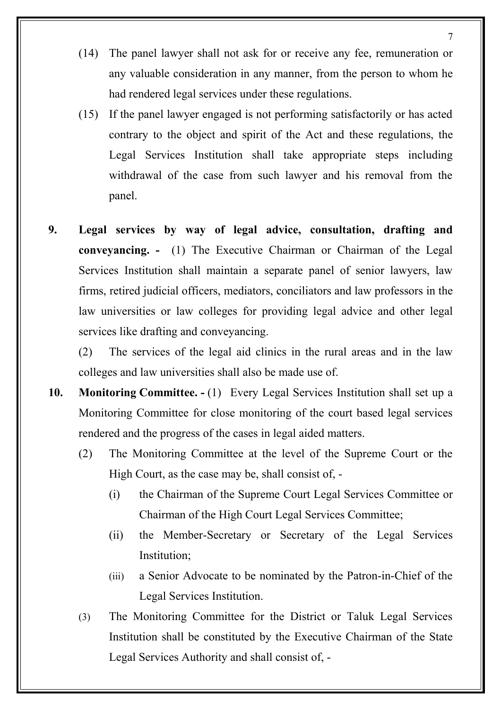- (14) The panel lawyer shall not ask for or receive any fee, remuneration or any valuable consideration in any manner, from the person to whom he had rendered legal services under these regulations.
- (15) If the panel lawyer engaged is not performing satisfactorily or has acted contrary to the object and spirit of the Act and these regulations, the Legal Services Institution shall take appropriate steps including withdrawal of the case from such lawyer and his removal from the panel.
- **9. Legal services by way of legal advice, consultation, drafting and conveyancing. -** (1) The Executive Chairman or Chairman of the Legal Services Institution shall maintain a separate panel of senior lawyers, law firms, retired judicial officers, mediators, conciliators and law professors in the law universities or law colleges for providing legal advice and other legal services like drafting and conveyancing.

(2) The services of the legal aid clinics in the rural areas and in the law colleges and law universities shall also be made use of.

- **10. Monitoring Committee.** (1) Every Legal Services Institution shall set up a Monitoring Committee for close monitoring of the court based legal services rendered and the progress of the cases in legal aided matters.
	- (2) The Monitoring Committee at the level of the Supreme Court or the High Court, as the case may be, shall consist of, -
		- (i) the Chairman of the Supreme Court Legal Services Committee or Chairman of the High Court Legal Services Committee;
		- (ii) the Member-Secretary or Secretary of the Legal Services Institution;
		- (iii) a Senior Advocate to be nominated by the Patron-in-Chief of the Legal Services Institution.
	- (3) The Monitoring Committee for the District or Taluk Legal Services Institution shall be constituted by the Executive Chairman of the State Legal Services Authority and shall consist of, -

7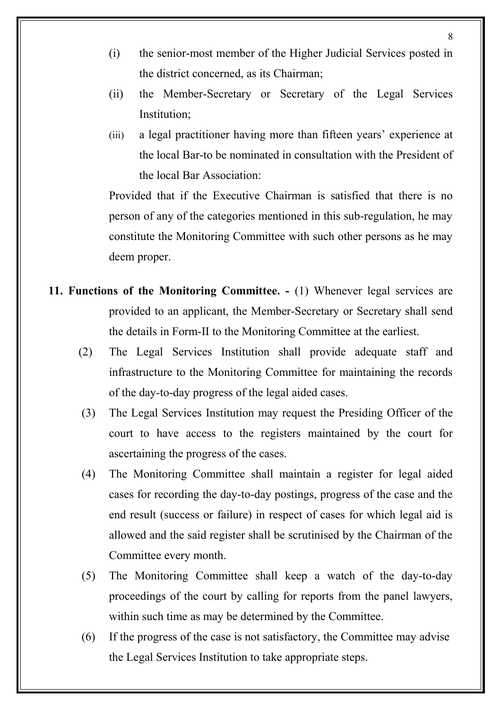- (i) the senior-most member of the Higher Judicial Services posted in the district concerned, as its Chairman;
- (ii) the Member-Secretary or Secretary of the Legal Services Institution;
- (iii) a legal practitioner having more than fifteen years' experience at the local Bar-to be nominated in consultation with the President of the local Bar Association:

Provided that if the Executive Chairman is satisfied that there is no person of any of the categories mentioned in this sub-regulation, he may constitute the Monitoring Committee with such other persons as he may deem proper.

- **11. Functions of the Monitoring Committee.** (1) Whenever legal services are provided to an applicant, the Member-Secretary or Secretary shall send the details in Form-II to the Monitoring Committee at the earliest.
	- (2) The Legal Services Institution shall provide adequate staff and infrastructure to the Monitoring Committee for maintaining the records of the day-to-day progress of the legal aided cases.
	- (3) The Legal Services Institution may request the Presiding Officer of the court to have access to the registers maintained by the court for ascertaining the progress of the cases.
	- (4) The Monitoring Committee shall maintain a register for legal aided cases for recording the day-to-day postings, progress of the case and the end result (success or failure) in respect of cases for which legal aid is allowed and the said register shall be scrutinised by the Chairman of the Committee every month.
	- (5) The Monitoring Committee shall keep a watch of the day-to-day proceedings of the court by calling for reports from the panel lawyers, within such time as may be determined by the Committee.
	- (6) If the progress of the case is not satisfactory, the Committee may advise the Legal Services Institution to take appropriate steps.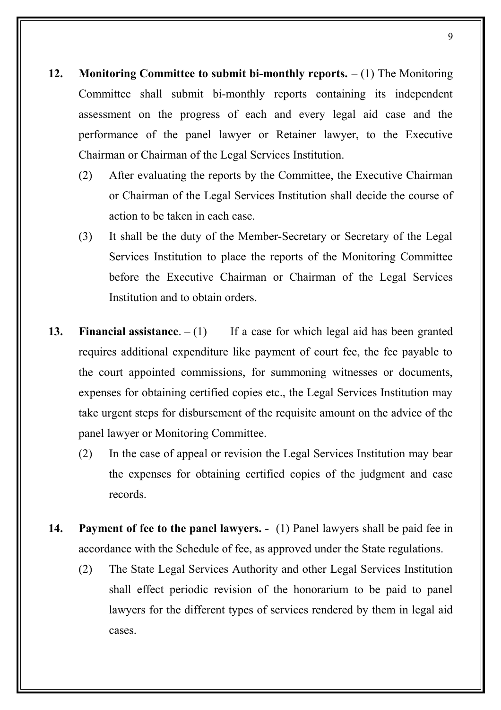- **12. Monitoring Committee to submit bi-monthly reports.** (1) The Monitoring Committee shall submit bi-monthly reports containing its independent assessment on the progress of each and every legal aid case and the performance of the panel lawyer or Retainer lawyer, to the Executive Chairman or Chairman of the Legal Services Institution.
	- (2) After evaluating the reports by the Committee, the Executive Chairman or Chairman of the Legal Services Institution shall decide the course of action to be taken in each case.
	- (3) It shall be the duty of the Member-Secretary or Secretary of the Legal Services Institution to place the reports of the Monitoring Committee before the Executive Chairman or Chairman of the Legal Services Institution and to obtain orders.
- **13. Financial assistance**.  $(1)$  If a case for which legal aid has been granted requires additional expenditure like payment of court fee, the fee payable to the court appointed commissions, for summoning witnesses or documents, expenses for obtaining certified copies etc., the Legal Services Institution may take urgent steps for disbursement of the requisite amount on the advice of the panel lawyer or Monitoring Committee.
	- (2) In the case of appeal or revision the Legal Services Institution may bear the expenses for obtaining certified copies of the judgment and case records.
- **14. Payment of fee to the panel lawyers.** (1) Panel lawyers shall be paid fee in accordance with the Schedule of fee, as approved under the State regulations.
	- (2) The State Legal Services Authority and other Legal Services Institution shall effect periodic revision of the honorarium to be paid to panel lawyers for the different types of services rendered by them in legal aid cases.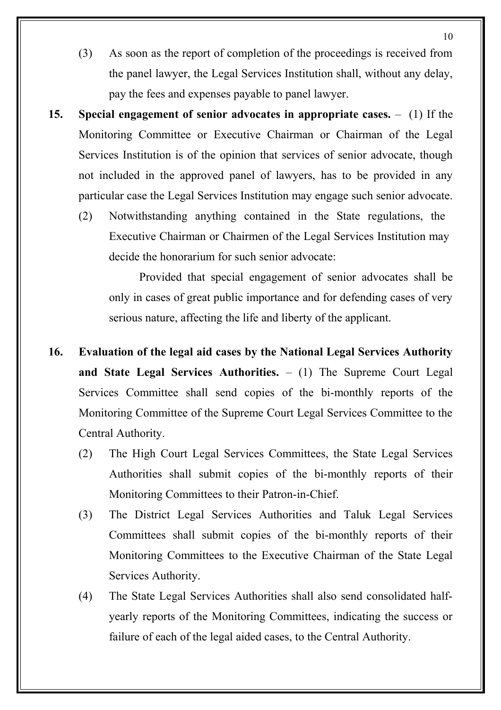- (3) As soon as the report of completion of the proceedings is received from the panel lawyer, the Legal Services Institution shall, without any delay, pay the fees and expenses payable to panel lawyer.
- **15. Special engagement of senior advocates in appropriate cases.** (1) If the Monitoring Committee or Executive Chairman or Chairman of the Legal Services Institution is of the opinion that services of senior advocate, though not included in the approved panel of lawyers, has to be provided in any particular case the Legal Services Institution may engage such senior advocate.
	- (2) Notwithstanding anything contained in the State regulations, the Executive Chairman or Chairmen of the Legal Services Institution may decide the honorarium for such senior advocate:

Provided that special engagement of senior advocates shall be only in cases of great public importance and for defending cases of very serious nature, affecting the life and liberty of the applicant.

- **16. Evaluation of the legal aid cases by the National Legal Services Authority and State Legal Services Authorities.** – (1) The Supreme Court Legal Services Committee shall send copies of the bi-monthly reports of the Monitoring Committee of the Supreme Court Legal Services Committee to the Central Authority.
	- (2) The High Court Legal Services Committees, the State Legal Services Authorities shall submit copies of the bi-monthly reports of their Monitoring Committees to their Patron-in-Chief.
	- (3) The District Legal Services Authorities and Taluk Legal Services Committees shall submit copies of the bi-monthly reports of their Monitoring Committees to the Executive Chairman of the State Legal Services Authority.
	- (4) The State Legal Services Authorities shall also send consolidated halfyearly reports of the Monitoring Committees, indicating the success or failure of each of the legal aided cases, to the Central Authority.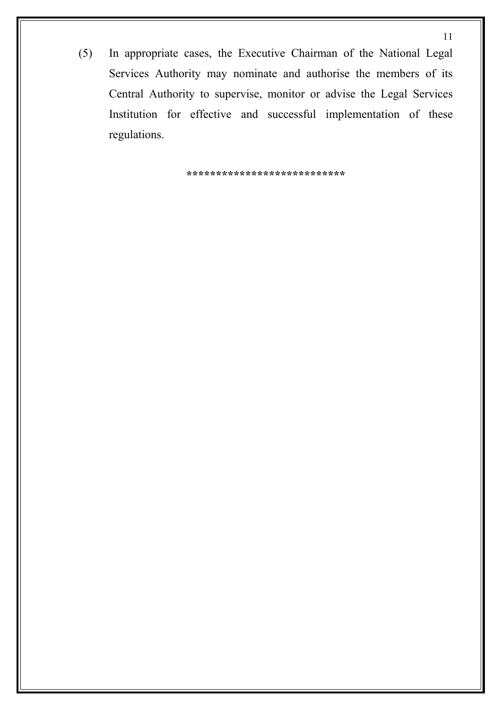(5) In appropriate cases, the Executive Chairman of the National Legal Services Authority may nominate and authorise the members of its Central Authority to supervise, monitor or advise the Legal Services Institution for effective and successful implementation of these regulations.

**\*\*\*\*\*\*\*\*\*\*\*\*\*\*\*\*\*\*\*\*\*\*\*\*\*\*\***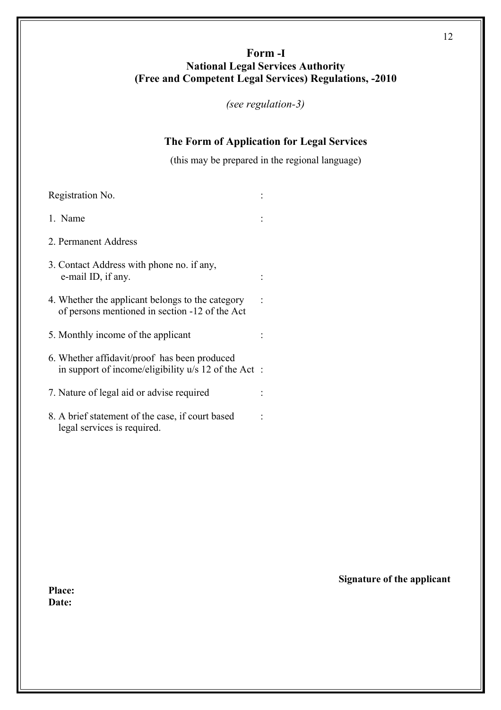# **Form -I National Legal Services Authority (Free and Competent Legal Services) Regulations, -2010**

*(see regulation-3)*

#### **The Form of Application for Legal Services**

(this may be prepared in the regional language)

| Registration No.                                                                                      |  |
|-------------------------------------------------------------------------------------------------------|--|
| 1. Name                                                                                               |  |
| 2. Permanent Address                                                                                  |  |
| 3. Contact Address with phone no. if any,<br>e-mail ID, if any.                                       |  |
| 4. Whether the applicant belongs to the category<br>of persons mentioned in section -12 of the Act    |  |
| 5. Monthly income of the applicant                                                                    |  |
| 6. Whether affidavit/proof has been produced<br>in support of income/eligibility $u/s$ 12 of the Act: |  |
| 7. Nature of legal aid or advise required                                                             |  |
| 8. A brief statement of the case, if court based<br>legal services is required.                       |  |

**Place: Date:** 

# **Signature of the applicant**